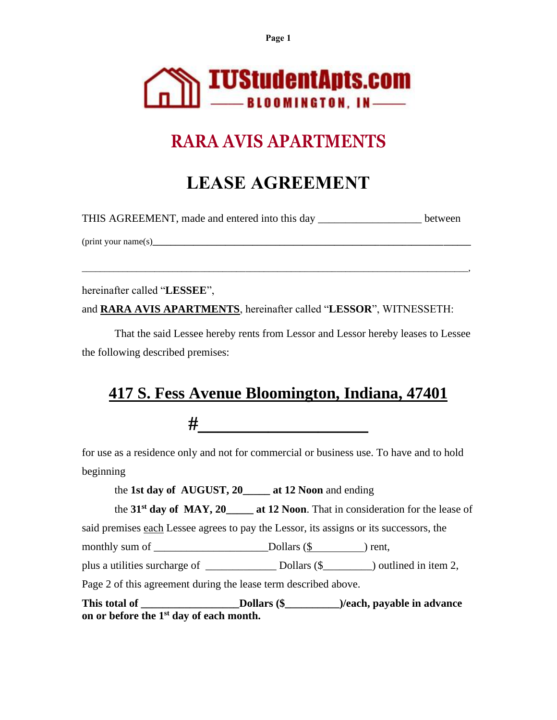**Page 1**



# **RARA AVIS APARTMENTS**

# **LEASE AGREEMENT**

THIS AGREEMENT, made and entered into this day \_\_\_\_\_\_\_\_\_\_\_\_\_\_\_\_\_\_\_\_\_\_ between

\_\_\_\_\_\_\_\_\_\_\_\_\_\_\_\_\_\_\_\_\_\_\_\_\_\_\_\_\_\_\_\_\_\_\_\_\_\_\_\_\_\_\_\_\_\_\_\_\_\_\_\_\_\_\_\_\_\_\_\_\_\_\_\_\_\_\_\_\_\_\_\_\_\_\_\_\_\_\_\_\_\_\_\_\_,

(print your name(s)**\_\_\_\_\_\_\_\_\_\_\_\_\_\_\_\_\_\_\_\_\_\_\_\_\_\_\_\_\_\_\_\_\_\_\_\_\_\_\_\_\_\_\_\_\_\_\_\_\_\_\_\_\_\_\_\_\_\_\_\_\_\_\_\_\_\_\_\_\_\_**

hereinafter called "**LESSEE**",

and **RARA AVIS APARTMENTS**, hereinafter called "**LESSOR**", WITNESSETH:

That the said Lessee hereby rents from Lessor and Lessor hereby leases to Lessee the following described premises:

# **417 S. Fess Avenue Bloomington, Indiana, 47401**

**#\_\_\_\_\_\_\_\_\_\_\_\_\_\_\_\_\_**

for use as a residence only and not for commercial or business use. To have and to hold beginning

the **1st day of AUGUST, 20\_\_\_\_\_ at 12 Noon** and ending

the **31st day of MAY, 20\_\_\_\_\_ at 12 Noon**. That in consideration for the lease of

said premises each Lessee agrees to pay the Lessor, its assigns or its successors, the

monthly sum of \_\_\_\_\_\_\_\_\_\_\_\_\_\_\_\_\_\_\_\_\_Dollars (\$ ) rent,

plus a utilities surcharge of \_\_\_\_\_\_\_\_\_\_\_\_\_ Dollars (\$\_\_\_\_\_\_\_\_\_) outlined in item 2,

Page 2 of this agreement during the lease term described above.

This total of \_\_\_\_\_\_\_\_\_\_\_\_\_\_\_\_\_\_\_\_\_Dollars (\$\_\_\_\_\_\_\_\_\_\_\_\_\_)/each, payable in advance **on or before the 1st day of each month.**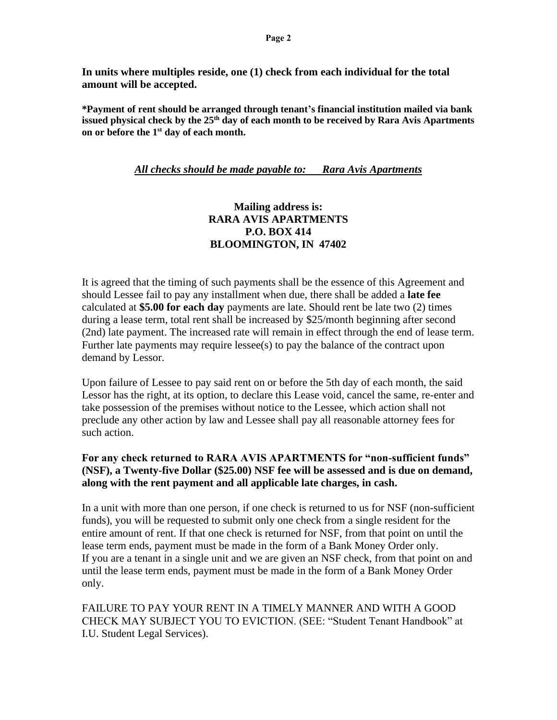**In units where multiples reside, one (1) check from each individual for the total amount will be accepted.**

**\*Payment of rent should be arranged through tenant's financial institution mailed via bank issued physical check by the 25th day of each month to be received by Rara Avis Apartments on or before the 1 st day of each month.** 

#### *All checks should be made payable to: Rara Avis Apartments*

#### **Mailing address is: RARA AVIS APARTMENTS P.O. BOX 414 BLOOMINGTON, IN 47402**

It is agreed that the timing of such payments shall be the essence of this Agreement and should Lessee fail to pay any installment when due, there shall be added a **late fee** calculated at **\$5.00 for each day** payments are late. Should rent be late two (2) times during a lease term, total rent shall be increased by \$25/month beginning after second (2nd) late payment. The increased rate will remain in effect through the end of lease term. Further late payments may require lessee(s) to pay the balance of the contract upon demand by Lessor.

Upon failure of Lessee to pay said rent on or before the 5th day of each month, the said Lessor has the right, at its option, to declare this Lease void, cancel the same, re-enter and take possession of the premises without notice to the Lessee, which action shall not preclude any other action by law and Lessee shall pay all reasonable attorney fees for such action.

#### **For any check returned to RARA AVIS APARTMENTS for "non-sufficient funds" (NSF), a Twenty-five Dollar (\$25.00) NSF fee will be assessed and is due on demand, along with the rent payment and all applicable late charges, in cash.**

In a unit with more than one person, if one check is returned to us for NSF (non-sufficient funds), you will be requested to submit only one check from a single resident for the entire amount of rent. If that one check is returned for NSF, from that point on until the lease term ends, payment must be made in the form of a Bank Money Order only. If you are a tenant in a single unit and we are given an NSF check, from that point on and until the lease term ends, payment must be made in the form of a Bank Money Order only.

FAILURE TO PAY YOUR RENT IN A TIMELY MANNER AND WITH A GOOD CHECK MAY SUBJECT YOU TO EVICTION. (SEE: "Student Tenant Handbook" at I.U. Student Legal Services).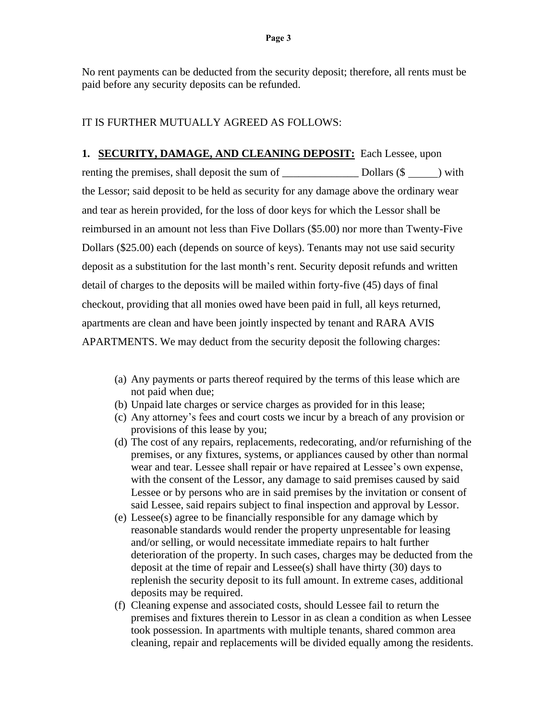No rent payments can be deducted from the security deposit; therefore, all rents must be paid before any security deposits can be refunded.

#### IT IS FURTHER MUTUALLY AGREED AS FOLLOWS:

**1. SECURITY, DAMAGE, AND CLEANING DEPOSIT:** Each Lessee, upon renting the premises, shall deposit the sum of \_\_\_\_\_\_\_\_\_\_\_\_\_\_ Dollars (\$ ) with the Lessor; said deposit to be held as security for any damage above the ordinary wear and tear as herein provided, for the loss of door keys for which the Lessor shall be reimbursed in an amount not less than Five Dollars (\$5.00) nor more than Twenty-Five Dollars (\$25.00) each (depends on source of keys). Tenants may not use said security deposit as a substitution for the last month's rent. Security deposit refunds and written detail of charges to the deposits will be mailed within forty-five (45) days of final checkout, providing that all monies owed have been paid in full, all keys returned, apartments are clean and have been jointly inspected by tenant and RARA AVIS APARTMENTS. We may deduct from the security deposit the following charges:

- (a) Any payments or parts thereof required by the terms of this lease which are not paid when due;
- (b) Unpaid late charges or service charges as provided for in this lease;
- (c) Any attorney's fees and court costs we incur by a breach of any provision or provisions of this lease by you;
- (d) The cost of any repairs, replacements, redecorating, and/or refurnishing of the premises, or any fixtures, systems, or appliances caused by other than normal wear and tear. Lessee shall repair or have repaired at Lessee's own expense, with the consent of the Lessor, any damage to said premises caused by said Lessee or by persons who are in said premises by the invitation or consent of said Lessee, said repairs subject to final inspection and approval by Lessor.
- (e) Lessee(s) agree to be financially responsible for any damage which by reasonable standards would render the property unpresentable for leasing and/or selling, or would necessitate immediate repairs to halt further deterioration of the property. In such cases, charges may be deducted from the deposit at the time of repair and Lessee(s) shall have thirty (30) days to replenish the security deposit to its full amount. In extreme cases, additional deposits may be required.
- (f) Cleaning expense and associated costs, should Lessee fail to return the premises and fixtures therein to Lessor in as clean a condition as when Lessee took possession. In apartments with multiple tenants, shared common area cleaning, repair and replacements will be divided equally among the residents.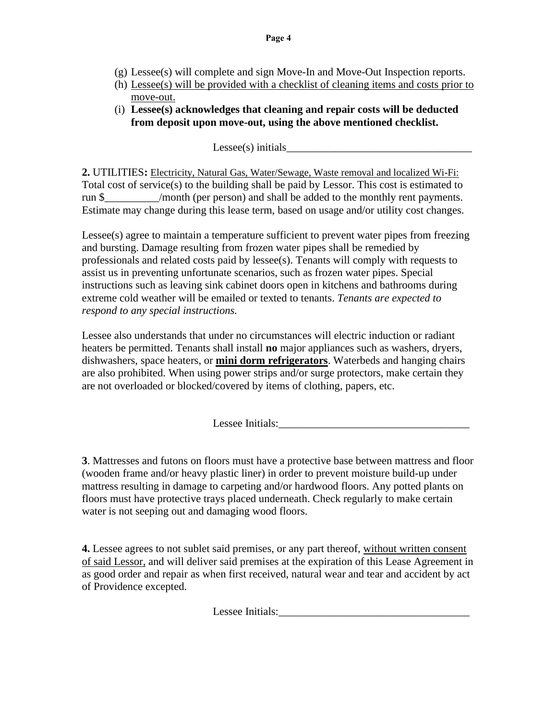- (g) Lessee(s) will complete and sign Move-In and Move-Out Inspection reports.
- (h) Lessee(s) will be provided with a checklist of cleaning items and costs prior to move-out.
- (i) **Lessee(s) acknowledges that cleaning and repair costs will be deducted from deposit upon move-out, using the above mentioned checklist.**

 $L$ essee(s) initials

**2.** UTILITIES**:** Electricity, Natural Gas, Water/Sewage, Waste removal and localized Wi-Fi: Total cost of service(s) to the building shall be paid by Lessor. This cost is estimated to run \$ /month (per person) and shall be added to the monthly rent payments. Estimate may change during this lease term, based on usage and/or utility cost changes.

Lessee(s) agree to maintain a temperature sufficient to prevent water pipes from freezing and bursting. Damage resulting from frozen water pipes shall be remedied by professionals and related costs paid by lessee(s). Tenants will comply with requests to assist us in preventing unfortunate scenarios, such as frozen water pipes. Special instructions such as leaving sink cabinet doors open in kitchens and bathrooms during extreme cold weather will be emailed or texted to tenants. *Tenants are expected to respond to any special instructions.*

Lessee also understands that under no circumstances will electric induction or radiant heaters be permitted. Tenants shall install **no** major appliances such as washers, dryers, dishwashers, space heaters, or **mini dorm refrigerators**. Waterbeds and hanging chairs are also prohibited. When using power strips and/or surge protectors, make certain they are not overloaded or blocked/covered by items of clothing, papers, etc.

Lessee Initials:

**3**. Mattresses and futons on floors must have a protective base between mattress and floor (wooden frame and/or heavy plastic liner) in order to prevent moisture build-up under mattress resulting in damage to carpeting and/or hardwood floors. Any potted plants on floors must have protective trays placed underneath. Check regularly to make certain water is not seeping out and damaging wood floors.

**4.** Lessee agrees to not sublet said premises, or any part thereof, without written consent of said Lessor, and will deliver said premises at the expiration of this Lease Agreement in as good order and repair as when first received, natural wear and tear and accident by act of Providence excepted.

Lessee Initials: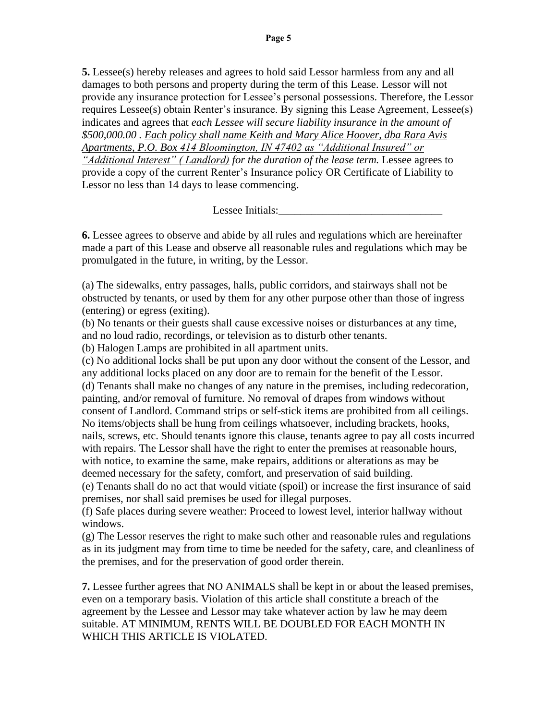**5.** Lessee(s) hereby releases and agrees to hold said Lessor harmless from any and all damages to both persons and property during the term of this Lease. Lessor will not provide any insurance protection for Lessee's personal possessions. Therefore, the Lessor requires Lessee(s) obtain Renter's insurance. By signing this Lease Agreement, Lessee(s) indicates and agrees that *each Lessee will secure liability insurance in the amount of \$500,000.00 . Each policy shall name Keith and Mary Alice Hoover, dba Rara Avis Apartments, P.O. Box 414 Bloomington, IN 47402 as "Additional Insured" or "Additional Interest" ( Landlord) for the duration of the lease term.* Lessee agrees to provide a copy of the current Renter's Insurance policy OR Certificate of Liability to Lessor no less than 14 days to lease commencing.

Lessee Initials:

**6.** Lessee agrees to observe and abide by all rules and regulations which are hereinafter made a part of this Lease and observe all reasonable rules and regulations which may be promulgated in the future, in writing, by the Lessor.

(a) The sidewalks, entry passages, halls, public corridors, and stairways shall not be obstructed by tenants, or used by them for any other purpose other than those of ingress (entering) or egress (exiting).

(b) No tenants or their guests shall cause excessive noises or disturbances at any time, and no loud radio, recordings, or television as to disturb other tenants.

(b) Halogen Lamps are prohibited in all apartment units.

(c) No additional locks shall be put upon any door without the consent of the Lessor, and any additional locks placed on any door are to remain for the benefit of the Lessor. (d) Tenants shall make no changes of any nature in the premises, including redecoration, painting, and/or removal of furniture. No removal of drapes from windows without consent of Landlord. Command strips or self-stick items are prohibited from all ceilings. No items/objects shall be hung from ceilings whatsoever, including brackets, hooks, nails, screws, etc. Should tenants ignore this clause, tenants agree to pay all costs incurred with repairs. The Lessor shall have the right to enter the premises at reasonable hours,

with notice, to examine the same, make repairs, additions or alterations as may be deemed necessary for the safety, comfort, and preservation of said building.

(e) Tenants shall do no act that would vitiate (spoil) or increase the first insurance of said premises, nor shall said premises be used for illegal purposes.

(f) Safe places during severe weather: Proceed to lowest level, interior hallway without windows.

(g) The Lessor reserves the right to make such other and reasonable rules and regulations as in its judgment may from time to time be needed for the safety, care, and cleanliness of the premises, and for the preservation of good order therein.

**7.** Lessee further agrees that NO ANIMALS shall be kept in or about the leased premises, even on a temporary basis. Violation of this article shall constitute a breach of the agreement by the Lessee and Lessor may take whatever action by law he may deem suitable. AT MINIMUM, RENTS WILL BE DOUBLED FOR EACH MONTH IN WHICH THIS ARTICLE IS VIOLATED.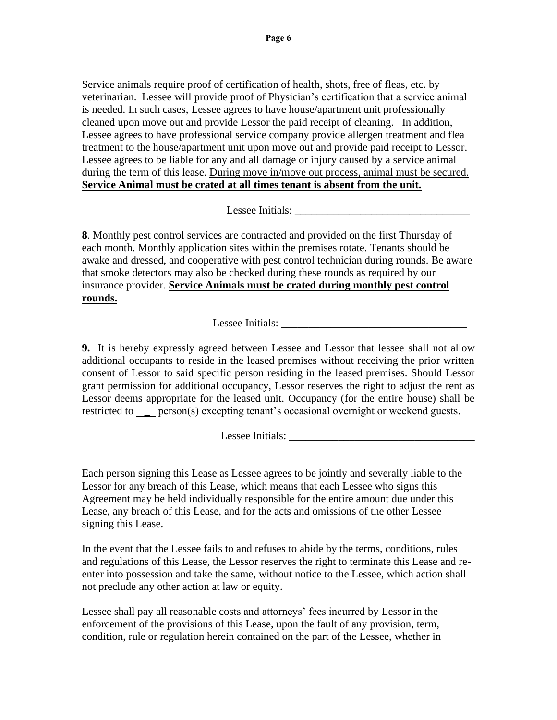Service animals require proof of certification of health, shots, free of fleas, etc. by veterinarian. Lessee will provide proof of Physician's certification that a service animal is needed. In such cases, Lessee agrees to have house/apartment unit professionally cleaned upon move out and provide Lessor the paid receipt of cleaning. In addition, Lessee agrees to have professional service company provide allergen treatment and flea treatment to the house/apartment unit upon move out and provide paid receipt to Lessor. Lessee agrees to be liable for any and all damage or injury caused by a service animal during the term of this lease. During move in/move out process, animal must be secured. **Service Animal must be crated at all times tenant is absent from the unit.**

Lessee Initials:

**8**. Monthly pest control services are contracted and provided on the first Thursday of each month. Monthly application sites within the premises rotate. Tenants should be awake and dressed, and cooperative with pest control technician during rounds. Be aware that smoke detectors may also be checked during these rounds as required by our insurance provider. **Service Animals must be crated during monthly pest control rounds.**

Lessee Initials: \_\_\_\_\_\_\_\_\_\_\_\_\_\_\_\_\_\_\_\_\_\_\_\_\_\_\_\_\_\_\_\_\_\_

**9.** It is hereby expressly agreed between Lessee and Lessor that lessee shall not allow additional occupants to reside in the leased premises without receiving the prior written consent of Lessor to said specific person residing in the leased premises. Should Lessor grant permission for additional occupancy, Lessor reserves the right to adjust the rent as Lessor deems appropriate for the leased unit. Occupancy (for the entire house) shall be restricted to person(s) excepting tenant's occasional overnight or weekend guests.

Lessee Initials:

Each person signing this Lease as Lessee agrees to be jointly and severally liable to the Lessor for any breach of this Lease, which means that each Lessee who signs this Agreement may be held individually responsible for the entire amount due under this Lease, any breach of this Lease, and for the acts and omissions of the other Lessee signing this Lease.

In the event that the Lessee fails to and refuses to abide by the terms, conditions, rules and regulations of this Lease, the Lessor reserves the right to terminate this Lease and reenter into possession and take the same, without notice to the Lessee, which action shall not preclude any other action at law or equity.

Lessee shall pay all reasonable costs and attorneys' fees incurred by Lessor in the enforcement of the provisions of this Lease, upon the fault of any provision, term, condition, rule or regulation herein contained on the part of the Lessee, whether in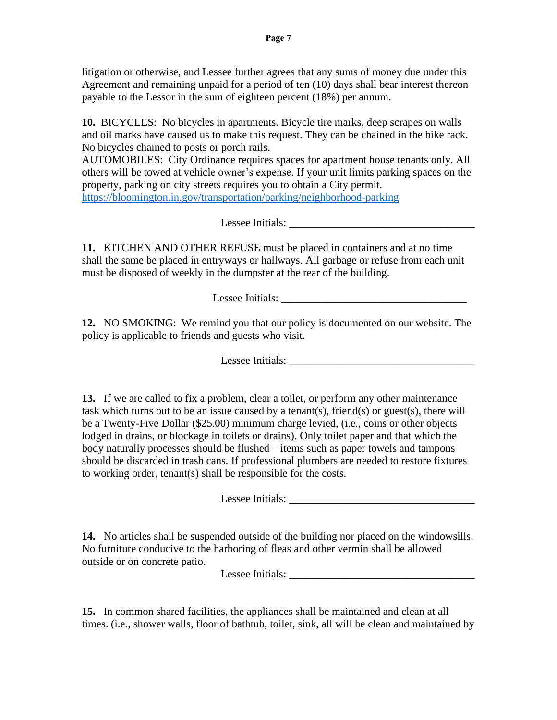litigation or otherwise, and Lessee further agrees that any sums of money due under this Agreement and remaining unpaid for a period of ten (10) days shall bear interest thereon payable to the Lessor in the sum of eighteen percent (18%) per annum.

**10.** BICYCLES: No bicycles in apartments. Bicycle tire marks, deep scrapes on walls and oil marks have caused us to make this request. They can be chained in the bike rack. No bicycles chained to posts or porch rails.

AUTOMOBILES: City Ordinance requires spaces for apartment house tenants only. All others will be towed at vehicle owner's expense. If your unit limits parking spaces on the property, parking on city streets requires you to obtain a City permit. <https://bloomington.in.gov/transportation/parking/neighborhood-parking>

Lessee Initials: \_\_\_\_\_\_\_\_\_\_\_\_\_\_\_\_\_\_\_\_\_\_\_\_\_\_\_\_\_\_\_\_\_\_

**11.** KITCHEN AND OTHER REFUSE must be placed in containers and at no time shall the same be placed in entryways or hallways. All garbage or refuse from each unit must be disposed of weekly in the dumpster at the rear of the building.

Lessee Initials: \_\_\_\_\_\_\_\_\_\_\_\_\_\_\_\_\_\_\_\_\_\_\_\_\_\_\_\_\_\_\_\_\_\_

**12.** NO SMOKING: We remind you that our policy is documented on our website. The policy is applicable to friends and guests who visit.

Lessee Initials: \_\_\_\_\_\_\_\_\_\_\_\_\_\_\_\_\_\_\_\_\_\_\_\_\_\_\_\_\_\_\_\_\_\_

**13.** If we are called to fix a problem, clear a toilet, or perform any other maintenance task which turns out to be an issue caused by a tenant(s), friend(s) or guest(s), there will be a Twenty-Five Dollar (\$25.00) minimum charge levied, (i.e., coins or other objects lodged in drains, or blockage in toilets or drains). Only toilet paper and that which the body naturally processes should be flushed – items such as paper towels and tampons should be discarded in trash cans. If professional plumbers are needed to restore fixtures to working order, tenant(s) shall be responsible for the costs.

Lessee Initials: \_\_\_\_\_\_\_\_\_\_\_\_\_\_\_\_\_\_\_\_\_\_\_\_\_\_\_\_\_\_\_\_\_\_

**14.** No articles shall be suspended outside of the building nor placed on the windowsills. No furniture conducive to the harboring of fleas and other vermin shall be allowed outside or on concrete patio.

Lessee Initials:

**15.** In common shared facilities, the appliances shall be maintained and clean at all times. (i.e., shower walls, floor of bathtub, toilet, sink, all will be clean and maintained by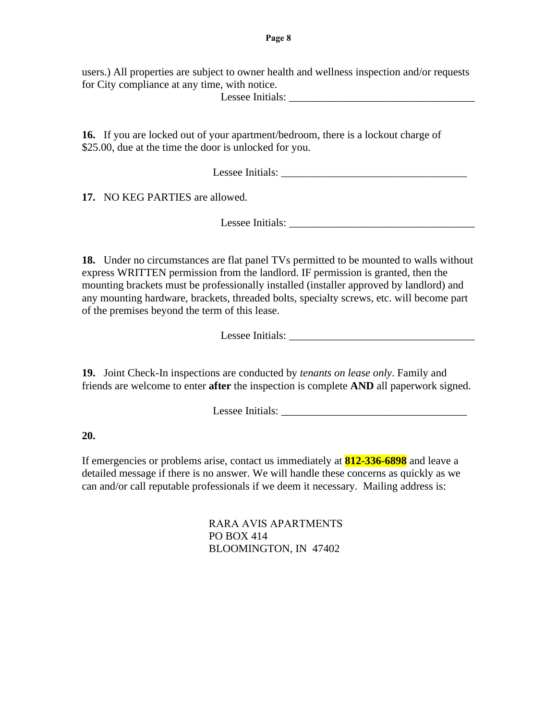users.) All properties are subject to owner health and wellness inspection and/or requests for City compliance at any time, with notice.

Lessee Initials: \_\_\_\_\_\_\_\_\_\_\_\_\_\_\_\_\_\_\_\_\_\_\_\_\_\_\_\_\_\_\_\_\_\_

**16.** If you are locked out of your apartment/bedroom, there is a lockout charge of \$25.00, due at the time the door is unlocked for you.

Lessee Initials: \_\_\_\_\_\_\_\_\_\_\_\_\_\_\_\_\_\_\_\_\_\_\_\_\_\_\_\_\_\_\_\_\_\_

**17.** NO KEG PARTIES are allowed.

Lessee Initials: \_\_\_\_\_\_\_\_\_\_\_\_\_\_\_\_\_\_\_\_\_\_\_\_\_\_\_\_\_\_\_\_\_\_

**18.** Under no circumstances are flat panel TVs permitted to be mounted to walls without express WRITTEN permission from the landlord. IF permission is granted, then the mounting brackets must be professionally installed (installer approved by landlord) and any mounting hardware, brackets, threaded bolts, specialty screws, etc. will become part of the premises beyond the term of this lease.

Lessee Initials:

**19.** Joint Check-In inspections are conducted by *tenants on lease only*. Family and friends are welcome to enter **after** the inspection is complete **AND** all paperwork signed.

Lessee Initials:

#### **20.**

If emergencies or problems arise, contact us immediately at **812-336-6898** and leave a detailed message if there is no answer. We will handle these concerns as quickly as we can and/or call reputable professionals if we deem it necessary. Mailing address is:

> RARA AVIS APARTMENTS PO BOX 414 BLOOMINGTON, IN 47402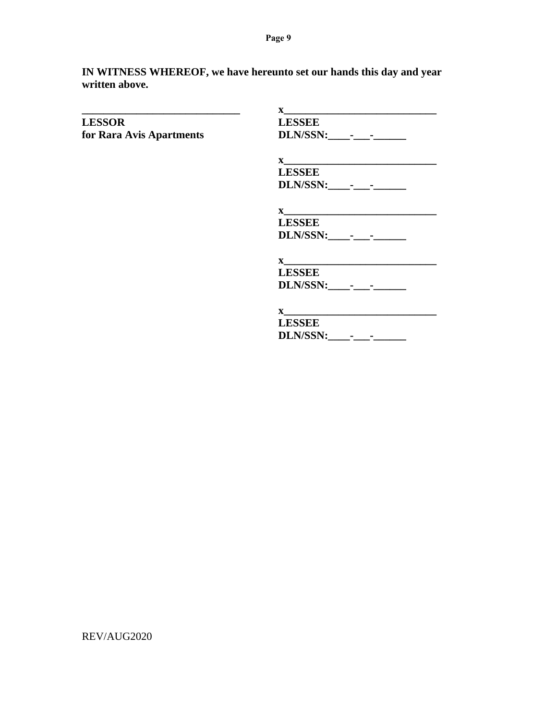**Page 9**

**IN WITNESS WHEREOF, we have hereunto set our hands this day and year written above.**

|                          | $\mathbf{X}$                                                                                                                                                                                                                                                                       |
|--------------------------|------------------------------------------------------------------------------------------------------------------------------------------------------------------------------------------------------------------------------------------------------------------------------------|
| <b>LESSOR</b>            | <b>LESSEE</b>                                                                                                                                                                                                                                                                      |
| for Rara Avis Apartments |                                                                                                                                                                                                                                                                                    |
|                          |                                                                                                                                                                                                                                                                                    |
|                          | <b>LESSEE</b>                                                                                                                                                                                                                                                                      |
|                          |                                                                                                                                                                                                                                                                                    |
|                          | $\mathbf{x}$                                                                                                                                                                                                                                                                       |
|                          | <b>LESSEE</b>                                                                                                                                                                                                                                                                      |
|                          |                                                                                                                                                                                                                                                                                    |
|                          | $\mathbf{x}$                                                                                                                                                                                                                                                                       |
|                          | <b>LESSEE</b>                                                                                                                                                                                                                                                                      |
|                          | DLN/SSN: - -                                                                                                                                                                                                                                                                       |
|                          | $\mathbf{X}$ and $\mathbf{X}$ and $\mathbf{X}$ and $\mathbf{X}$ and $\mathbf{X}$ are solved by $\mathbf{X}$ and $\mathbf{X}$ are solved by $\mathbf{X}$ and $\mathbf{X}$ are solved by $\mathbf{X}$ and $\mathbf{X}$ are solved by $\mathbf{X}$ and $\mathbf{X}$ are solved by $\$ |
|                          | <b>LESSEE</b>                                                                                                                                                                                                                                                                      |
|                          | DLN/SSN: -----                                                                                                                                                                                                                                                                     |
|                          |                                                                                                                                                                                                                                                                                    |

REV/AUG2020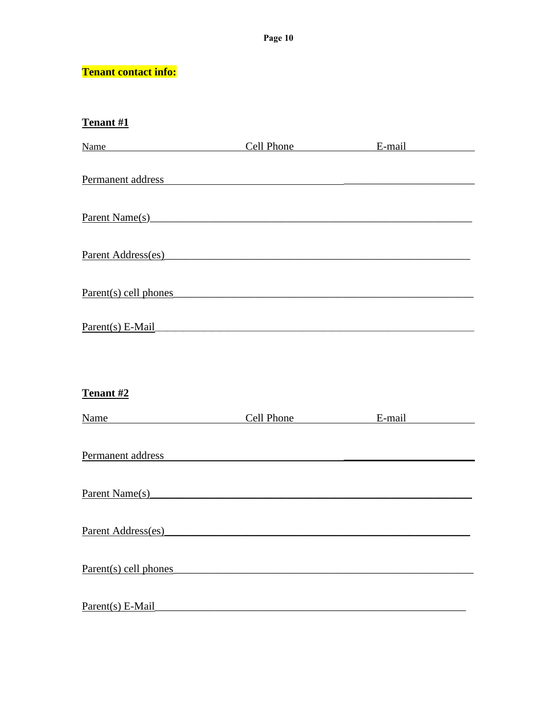### **Tenant contact info:**

### Tenant #1

| Name Cell Phone E-mail                                                                                                                                                                                                         |  |  |
|--------------------------------------------------------------------------------------------------------------------------------------------------------------------------------------------------------------------------------|--|--|
| Permanent address and the contract of the contract of the contract of the contract of the contract of the contract of the contract of the contract of the contract of the contract of the contract of the contract of the cont |  |  |
| Parent Name(s)                                                                                                                                                                                                                 |  |  |
|                                                                                                                                                                                                                                |  |  |
| Parent Address(es)                                                                                                                                                                                                             |  |  |
| Parent(s) cell phones expression and the phones of the phones of the phones are the phones of the phones of the phones of the phones of the phones of the phones of the phones of the phones of the phones of the phones of th |  |  |
| Parent(s) E-Mail                                                                                                                                                                                                               |  |  |
|                                                                                                                                                                                                                                |  |  |
| Tenant #2                                                                                                                                                                                                                      |  |  |
| Name Cell Phone E-mail                                                                                                                                                                                                         |  |  |
| Permanent address experiences and the contract of the contract of the contract of the contract of the contract of the contract of the contract of the contract of the contract of the contract of the contract of the contract |  |  |
| $\text{Parent Name}(s)$                                                                                                                                                                                                        |  |  |
| Parent Address(es)<br><u>Example 2014</u>                                                                                                                                                                                      |  |  |
|                                                                                                                                                                                                                                |  |  |
| Parent(s) cell phones expression and the parent of the parent of the parent of the parent of the parent of the parent of the parent of the parent of the parent of the parent of the parent of the parent of the parent of the |  |  |
| Parent(s) E-Mail                                                                                                                                                                                                               |  |  |